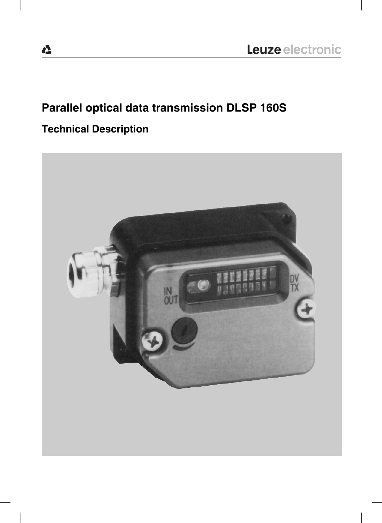# **Parallel optical data transmission DLSP 160S**

# **Technical Description**

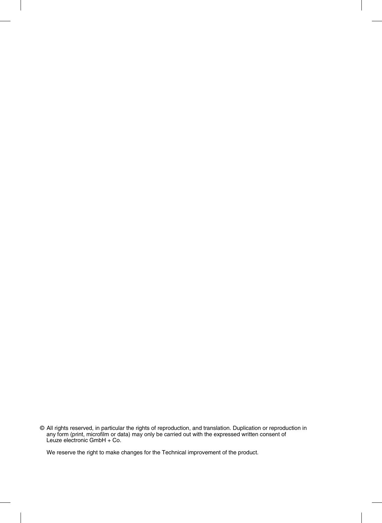© All rights reserved, in particular the rights of reproduction, and translation. Duplication or reproduction in any form (print, microfilm or data) may only be carried out with the expressed written consent of Leuze electronic GmbH + Co.

We reserve the right to make changes for the Technical improvement of the product.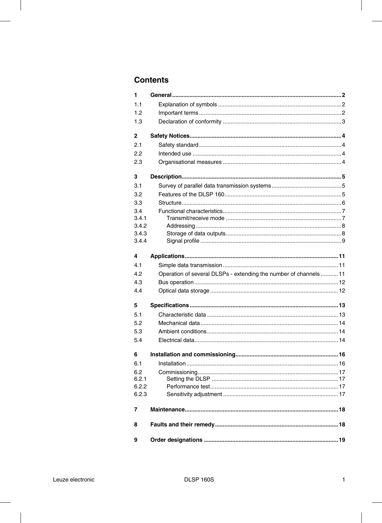# **Contents**

| 1            |                                                                   |  |
|--------------|-------------------------------------------------------------------|--|
| 1.1          |                                                                   |  |
| 1.2          |                                                                   |  |
| 1.3          |                                                                   |  |
| $\mathbf{2}$ |                                                                   |  |
| 2.1          |                                                                   |  |
| 2.2          |                                                                   |  |
| 2.3          |                                                                   |  |
| 3            |                                                                   |  |
| 3.1          |                                                                   |  |
| 3.2          |                                                                   |  |
| 3.3          |                                                                   |  |
| 3.4          |                                                                   |  |
| 3.4.1        |                                                                   |  |
| 3.4.2        |                                                                   |  |
| 3.4.3        |                                                                   |  |
| 3.4.4        |                                                                   |  |
| 4            |                                                                   |  |
| 4.1          |                                                                   |  |
| 4.2          | Operation of several DLSPs - extending the number of channels  11 |  |
| 4.3          |                                                                   |  |
| 4.4          |                                                                   |  |
| 5            |                                                                   |  |
| 5.1          |                                                                   |  |
| 5.2          |                                                                   |  |
| 5.3          |                                                                   |  |
| 5.4          |                                                                   |  |
| 6            |                                                                   |  |
| 6.1          |                                                                   |  |
| 6.2          |                                                                   |  |
| 6.2.1        |                                                                   |  |
| 6.2.2        |                                                                   |  |
| 6.2.3        |                                                                   |  |
| 7            |                                                                   |  |
| 8            |                                                                   |  |
|              |                                                                   |  |
| 9            |                                                                   |  |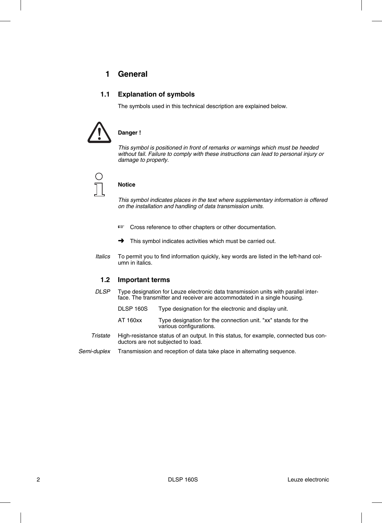# **1 General**

#### **1.1 Explanation of symbols**

The symbols used in this technical description are explained below.



#### **Danger !**

*This symbol is positioned in front of remarks or warnings which must be heeded without fail. Failure to comply with these instructions can lead to personal injury or damage to property.*



#### **Notice**

*This symbol indicates places in the text where supplementary information is offered on the installation and handling of data transmission units.*

- ☞ Cross reference to other chapters or other documentation.
- **→** This symbol indicates activities which must be carried out.
- *Italics* To permit you to find information quickly, key words are listed in the left-hand column in italics.

#### **1.2 Important terms**

- *DLSP* Type designation for Leuze electronic data transmission units with parallel interface. The transmitter and receiver are accommodated in a single housing.
	- DLSP 160S Type designation for the electronic and display unit.
	- AT 160xx Type designation for the connection unit. "xx" stands for the various configurations.
- *Tristate* High-resistance status of an output. In this status, for example, connected bus conductors are not subjected to load.
- *Semi-duplex* Transmission and reception of data take place in alternating sequence.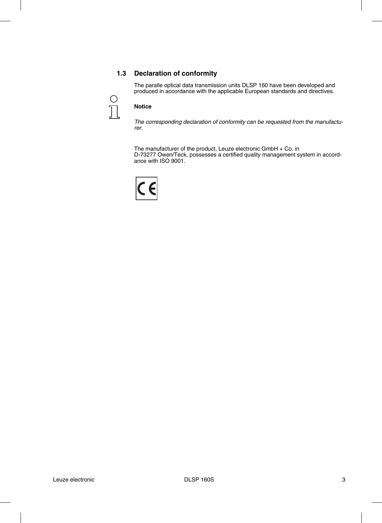#### **1.3 Declaration of conformity**

The paralle optical data transmission units DLSP 160 have been developed and produced in accordance with the applicable European standards and directives.



#### **Notice**

*The corresponding declaration of conformity can be requested from the manufacturer.*

The manufacturer of the product, Leuze electronic GmbH + Co. in D-73277 Owen/Teck, possesses a certified quality management system in accordance with ISO 9001.

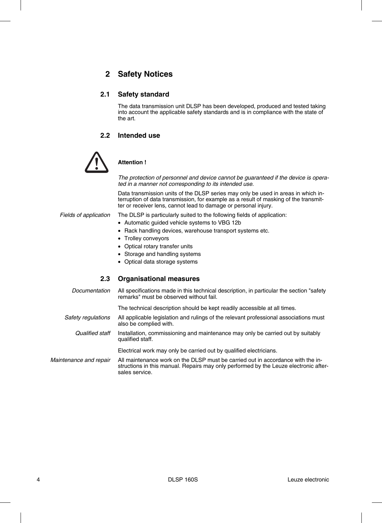# **2 Safety Notices**

#### **2.1 Safety standard**

The data transmission unit DLSP has been developed, produced and tested taking into account the applicable safety standards and is in compliance with the state of the art.

#### **2.2 Intended use**



#### **Attention !**

*The protection of personnel and device cannot be guaranteed if the device is operated in a manner not corresponding to its intended use.*

Data transmission units of the DLSP series may only be used in areas in which interruption of data transmission, for example as a result of masking of the transmitter or receiver lens, cannot lead to damage or personal injury.

*Fields of application* The DLSP is particularly suited to the following fields of application:

- Automatic guided vehicle systems to VBG 12b
- Rack handling devices, warehouse transport systems etc.
- Trolley conveyors
- Optical rotary transfer units
- Storage and handling systems
- Optical data storage systems

#### **2.3 Organisational measures**

*Documentation* All specifications made in this technical description, in particular the section "safety remarks" must be observed without fail.

The technical description should be kept readily accessible at all times.

- *Safety regulations* All applicable legislation and rulings of the relevant professional associations must also be complied with.
- *Qualified staff* Installation, commissioning and maintenance may only be carried out by suitably qualified staff.

Electrical work may only be carried out by qualified electricians.

*Maintenance and repair* All maintenance work on the DLSP must be carried out in accordance with the instructions in this manual. Repairs may only performed by the Leuze electronic aftersales service.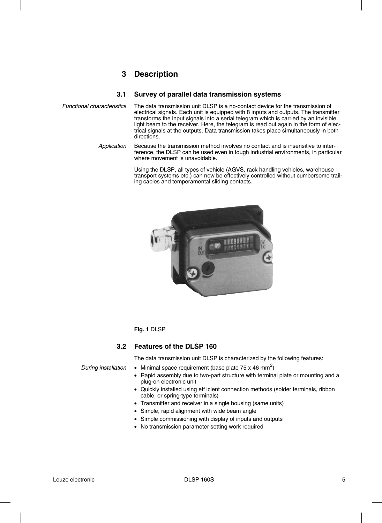# **3 Description**

#### **3.1 Survey of parallel data transmission systems**

- *Functional characteristics* The data transmission unit DLSP is a no-contact device for the transmission of electrical signals. Each unit is equipped with 8 inputs and outputs. The transmitter transforms the input signals into a serial telegram which is carried by an invisible light beam to the receiver. Here, the telegram is read out again in the form of electrical signals at the outputs. Data transmission takes place simultaneously in both directions.
	- *Application* Because the transmission method involves no contact and is insensitive to interference, the DLSP can be used even in tough industrial environments, in particular where movement is unavoidable.

Using the DLSP, all types of vehicle (AGVS, rack handling vehicles, warehouse transport systems etc.) can now be effectively controlled without cumbersome trailing cables and temperamental sliding contacts.



#### **Fig. 1** DLSP

#### **3.2 Features of the DLSP 160**

The data transmission unit DLSP is characterized by the following features:

During installation  $\bullet$  Minimal space requirement (base plate 75 x 46 mm<sup>2</sup>)

- Rapid assembly due to two-part structure with terminal plate or mounting and a plug-on electronic unit
- Quickly installed using eff icient connection methods (solder terminals, ribbon cable, or spring-type terminals)
- Transmitter and receiver in a single housing (same units)
- Simple, rapid alignment with wide beam angle
- Simple commissioning with display of inputs and outputs
- No transmission parameter setting work required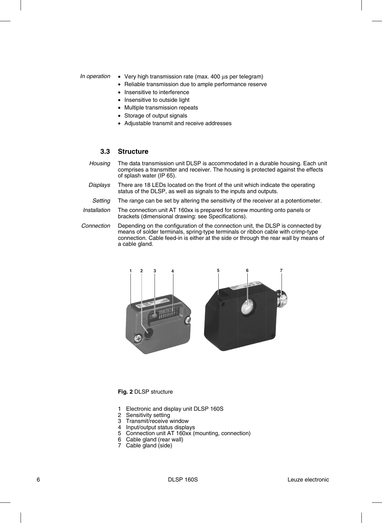#### *In operation* • Very high transmission rate (max. 400 μs per telegram)

- Reliable transmission due to ample performance reserve
- Insensitive to interference
- Insensitive to outside light
- Multiple transmission repeats
- Storage of output signals
- Adjustable transmit and receive addresses

#### **3.3 Structure**

- *Housing* The data transmission unit DLSP is accommodated in a durable housing. Each unit comprises a transmitter and receiver. The housing is protected against the effects of splash water (IP 65).
- *Displays* There are 18 LEDs located on the front of the unit which indicate the operating status of the DLSP, as well as signals to the inputs and outputs.
- *Setting* The range can be set by altering the sensitivity of the receiver at a potentiometer.
- *Installation* The connection unit AT 160xx is prepared for screw mounting onto panels or brackets (dimensional drawing: see Specifications).
- *Connection* Depending on the configuration of the connection unit, the DLSP is connected by means of solder terminals, spring-type terminals or ribbon cable with crimp-type connection. Cable feed-in is either at the side or through the rear wall by means of a cable gland.



#### **Fig. 2** DLSP structure

- 1 Electronic and display unit DLSP 160S
- 2 Sensitivity setting
- 3 Transmit/receive window
- 4 Input/output status displays
- 5 Connection unit AT 160xx (mounting, connection)
- 6 Cable gland (rear wall)
- 7 Cable gland (side)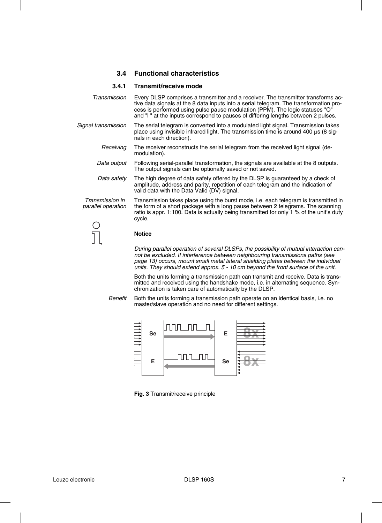#### **3.4 Functional characteristics**

#### **3.4.1 Transmit/receive mode**

| Transmission                          | Every DLSP comprises a transmitter and a receiver. The transmitter transforms ac-<br>tive data signals at the 8 data inputs into a serial telegram. The transformation pro-<br>cess is performed using pulse pause modulation (PPM). The logic statuses "O"<br>and "I" at the inputs correspond to pauses of differing lengths between 2 pulses. |
|---------------------------------------|--------------------------------------------------------------------------------------------------------------------------------------------------------------------------------------------------------------------------------------------------------------------------------------------------------------------------------------------------|
| Signal transmission                   | The serial telegram is converted into a modulated light signal. Transmission takes<br>place using invisible infrared light. The transmission time is around 400 µs (8 sig-<br>nals in each direction).                                                                                                                                           |
| Receiving                             | The receiver reconstructs the serial telegram from the received light signal (de-<br>modulation).                                                                                                                                                                                                                                                |
| Data output                           | Following serial-parallel transformation, the signals are available at the 8 outputs.<br>The output signals can be optionally saved or not saved.                                                                                                                                                                                                |
| Data safety                           | The high degree of data safety offered by the DLSP is guaranteed by a check of<br>amplitude, address and parity, repetition of each telegram and the indication of<br>valid data with the Data Valid (DV) signal.                                                                                                                                |
| Transmission in<br>parallel operation | Transmission takes place using the burst mode, i.e. each telegram is transmitted in<br>the form of a short package with a long pause between 2 telegrams. The scanning<br>ratio is appr. 1:100. Data is actually being transmitted for only 1 % of the unit's duty<br>cycle.                                                                     |
|                                       |                                                                                                                                                                                                                                                                                                                                                  |
|                                       | Nation                                                                                                                                                                                                                                                                                                                                           |

JΙ

#### **Notice**

*During parallel operation of several DLSPs, the possibility of mutual interaction cannot be excluded. If interference between neighbouring transmissions paths (see page 13) occurs, mount small metal lateral shielding plates between the individual units. They should extend approx. 5 - 10 cm beyond the front surface of the unit.*

Both the units forming a transmission path can transmit and receive. Data is transmitted and received using the handshake mode, i.e. in alternating sequence. Synchronization is taken care of automatically by the DLSP.

*Benefit* Both the units forming a transmission path operate on an identical basis, i.e. no master/slave operation and no need for different settings.



**Fig. 3** Transmit/receive principle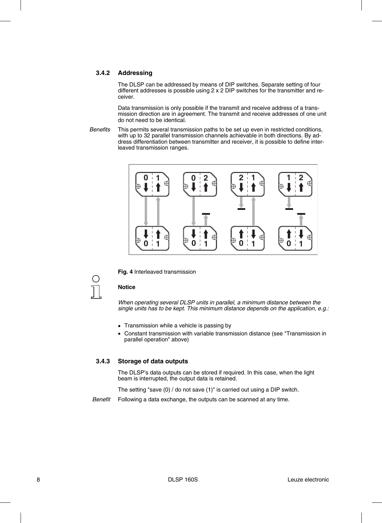#### **3.4.2 Addressing**

The DLSP can be addressed by means of DIP switches. Separate setting of four different addresses is possible using 2 x 2 DIP switches for the transmitter and receiver.

Data transmission is only possible if the transmit and receive address of a transmission direction are in agreement. The transmit and receive addresses of one unit do not need to be identical.

*Benefits* This permits several transmission paths to be set up even in restricted conditions, with up to 32 parallel transmission channels achievable in both directions. By address differentiation between transmitter and receiver, it is possible to define interleaved transmission ranges.



**Fig. 4** Interleaved transmission



#### **Notice**

*When operating several DLSP units in parallel, a minimum distance between the single units has to be kept. This minimum distance depends on the application, e.g.:*

- Transmission while a vehicle is passing by
- Constant transmission with variable transmission distance (see "Transmission in parallel operation" above)

#### **3.4.3 Storage of data outputs**

The DLSP's data outputs can be stored if required. In this case, when the light beam is interrupted, the output data is retained.

The setting "save (0) / do not save (1)" is carried out using a DIP switch.

*Benefit* Following a data exchange, the outputs can be scanned at any time.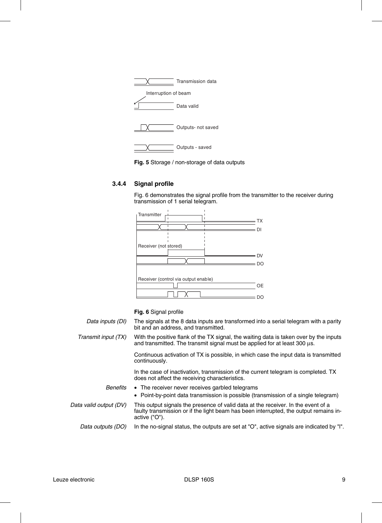



### **3.4.4 Signal profile**

Fig. 6 demonstrates the signal profile from the transmitter to the receiver during transmission of 1 serial telegram.



**Fig. 6** Signal profile

| Data inputs (DI)       | The signals at the 8 data inputs are transformed into a serial telegram with a parity<br>bit and an address, and transmitted.                                                               |
|------------------------|---------------------------------------------------------------------------------------------------------------------------------------------------------------------------------------------|
| Transmit input (TX)    | With the positive flank of the TX signal, the waiting data is taken over by the inputs<br>and transmitted. The transmit signal must be applied for at least 300 µs.                         |
|                        | Continuous activation of TX is possible, in which case the input data is transmitted<br>continuously.                                                                                       |
|                        | In the case of inactivation, transmission of the current telegram is completed. TX<br>does not affect the receiving characteristics.                                                        |
| <b>Benefits</b>        | • The receiver never receives garbled telegrams                                                                                                                                             |
|                        | • Point-by-point data transmission is possible (transmission of a single telegram)                                                                                                          |
| Data valid output (DV) | This output signals the presence of valid data at the receiver. In the event of a<br>faulty transmission or if the light beam has been interrupted, the output remains in-<br>active ("O"). |
| Data outputs (DO)      | In the no-signal status, the outputs are set at "O", active signals are indicated by "I".                                                                                                   |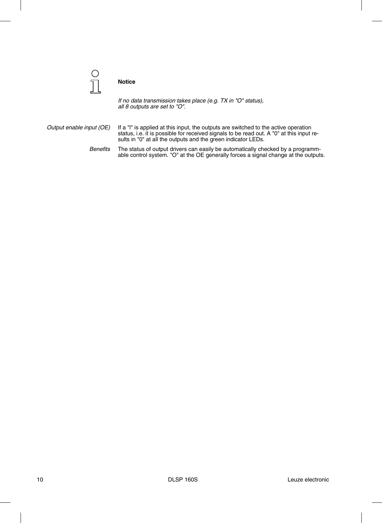

#### **Notice**

*If no data transmission takes place (e.g. TX in "O" status), all 8 outputs are set to "O".*

*Output enable input (OE)* If a "l" is applied at this input, the outputs are switched to the active operation status, i.e. it is possible for received signals to be read out. A "0" at this input results in "0" at all the outputs and the green indicator LEDs.

> *Benefits* The status of output drivers can easily be automatically checked by a programmable control system. "O" at the OE generally forces a signal change at the outputs.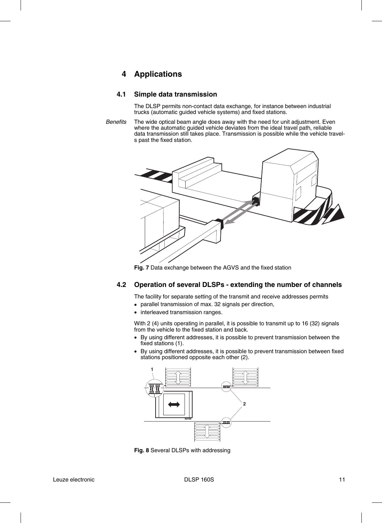## **4 Applications**

#### **4.1 Simple data transmission**

The DLSP permits non-contact data exchange, for instance between industrial trucks (automatic guided vehicle systems) and fixed stations.

*Benefits* The wide optical beam angle does away with the need for unit adjustment. Even where the automatic guided vehicle deviates from the ideal travel path, reliable data transmission still takes place. Transmission is possible while the vehicle travels past the fixed station.



**Fig. 7** Data exchange between the AGVS and the fixed station

#### **4.2 Operation of several DLSPs - extending the number of channels**

The facility for separate setting of the transmit and receive addresses permits

- parallel transmission of max. 32 signals per direction,
- interleaved transmission ranges.

With 2 (4) units operating in parallel, it is possible to transmit up to 16 (32) signals from the vehicle to the fixed station and back.

- By using different addresses, it is possible to prevent transmission between the fixed stations (1).
- By using different addresses, it is possible to prevent transmission between fixed stations positioned opposite each other (2).



**Fig. 8** Several DLSPs with addressing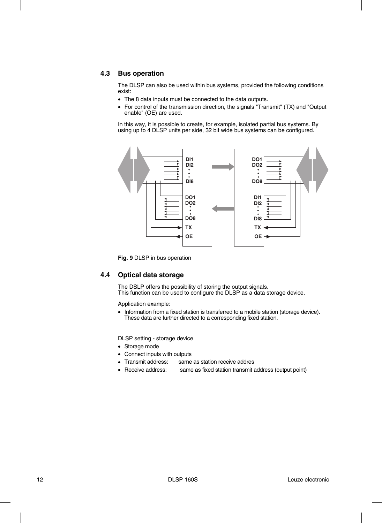#### **4.3 Bus operation**

The DLSP can also be used within bus systems, provided the following conditions exist:

- The 8 data inputs must be connected to the data outputs.
- For control of the transmission direction, the signals "Transmit" (TX) and "Output enable" (OE) are used.

In this way, it is possible to create, for example, isolated partial bus systems. By using up to 4 DLSP units per side, 32 bit wide bus systems can be configured.



**Fig. 9** DLSP in bus operation

#### **4.4 Optical data storage**

The DSLP offers the possibility of storing the output signals. This function can be used to configure the DLSP as a data storage device.

Application example:

• Information from a fixed station is transferred to a mobile station (storage device). These data are further directed to a corresponding fixed station.

DLSP setting - storage device

- Storage mode
- Connect inputs with outputs
- Transmit address: same as station receive addres
- Receive address: same as fixed station transmit address (output point)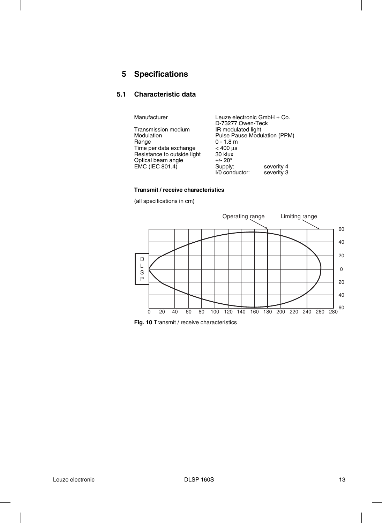# **5 Specifications**

#### **5.1 Characteristic data**

Manufacturer **Leuze electronic GmbH** + Co.

|                             | D-73277 Owen-Teck            |            |
|-----------------------------|------------------------------|------------|
| Transmission medium         | IR modulated light           |            |
| Modulation                  | Pulse Pause Modulation (PPM) |            |
| Range                       | $0 - 1.8$ m                  |            |
| Time per data exchange      | $< 400 \mu s$                |            |
| Resistance to outside light | 30 klux                      |            |
| Optical beam angle          | $+/- 20^{\circ}$             |            |
| EMC (IEC 801.4)             | Supply:                      | severity 4 |
|                             | I/0 conductor:               | severity 3 |
|                             |                              |            |

#### **Transmit / receive characteristics**

(all specifications in cm)



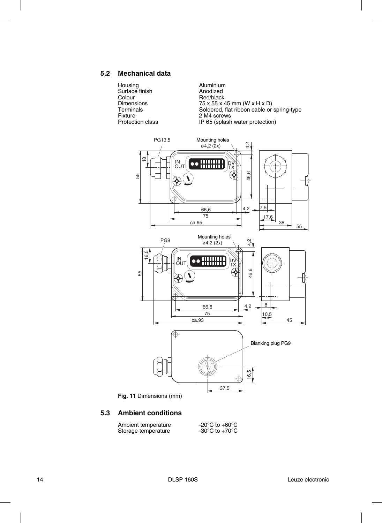#### **5.2 Mechanical data**

Housing Aluminium Surface finish **Anodized** Colour Red/black<br>Dimensions 75 x 55 x 4 Fixture 2 M4 screws<br>Protection class 1996 1997 1998 1998 1998 1998 1999 1998 1999 1999 1999 1999 1999 1999 1999 1999 1999 1999 19

Dimensions 75 x 55 x 45 mm (W x H x D)<br>Terminals Soldered, flat ribbon cable or Terminals Soldered, flat ribbon cable or spring-type<br>
Fixture 2 M4 screws IP 65 (splash water protection)



**5.3 Ambient conditions**

Ambient temperature -20°C to +60°C<br>Storage temperature -30°C to +70°C Storage temperature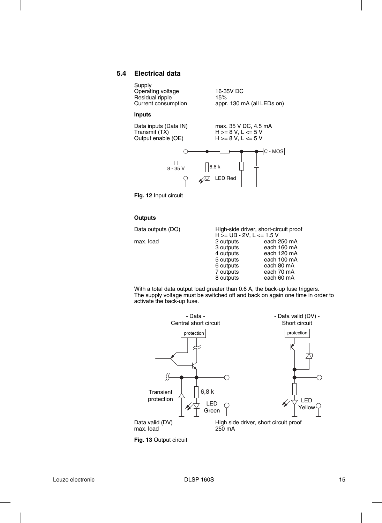#### **5.4 Electrical data**

Supply Operating voltage 16-35V DC<br>
Residual ripple 15% Residual ripple<br>Current consumption

appr. 130 mA (all LEDs on)

 $H$  >= 8 V, L <= 5 V<br>H >= 8 V, L <= 5 V

#### **Inputs**

Data inputs (Data IN) max. 35 V DC, 4.5 mA<br>Transmit (TX) H >= 8 V, L <= 5 V Output enable (OE)



**Fig. 12** Input circuit

#### **Outputs**

Data outputs (DO)

max. load

|                            | High-side driver, short-circuit proof |
|----------------------------|---------------------------------------|
| $H >= UB - 2V, L <= 1.5 V$ |                                       |
| 2 outputs                  | each 250 mA                           |
| 3 outputs                  | each 160 mA                           |
| 4 outputs                  | each 120 mA                           |
| 5 outputs                  | each 100 mA                           |
| 6 outputs                  | each 80 mA                            |
| 7 outputs                  | each 70 mA                            |
| 8 outputs                  | each 60 mA                            |

With a total data output load greater than 0.6 A, the back-up fuse triggers. The supply voltage must be switched off and back on again one time in order to activate the back-up fuse.



**Fig. 13** Output circuit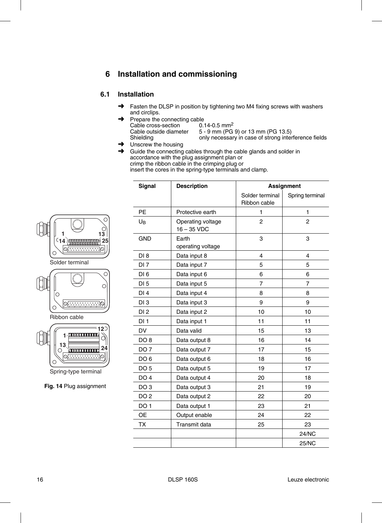# **6 Installation and commissioning**

#### **6.1 Installation**

- **→** Fasten the DLSP in position by tightening two M4 fixing screws with washers and circlips.
- $\rightarrow$  Prepare the connecting cable<br>Cable cross-section 0.14-0.5 mm<sup>2</sup> Cable cross-section<br>Cable outside diameter Cable outside diameter 5 - 9 mm (PG 9) or 13 mm (PG 13.5)<br>Shielding only necessary in case of strong inter only necessary in case of strong interference fields
- ➜ Unscrew the housing
- Guide the connecting cables through the cable glands and solder in accordance with the plug assignment plan or crimp the ribbon cable in the crimping plug or insert the cores in the spring-type terminals and clamp.



Spring-type terminal

**Fig. 14** Plug assignment

| <b>Signal</b>   | <b>Description</b>                 | <b>Assignment</b>               |                 |
|-----------------|------------------------------------|---------------------------------|-----------------|
|                 |                                    | Solder terminal<br>Ribbon cable | Spring terminal |
| <b>PE</b>       | Protective earth                   | 1                               | $\mathbf{1}$    |
| U <sub>B</sub>  | Operating voltage<br>$16 - 35$ VDC | $\overline{c}$                  | 2               |
| <b>GND</b>      | Earth<br>operating voltage         | 3                               | 3               |
| DI <sub>8</sub> | Data input 8                       | 4                               | 4               |
| DI <sub>7</sub> | Data input 7                       | 5                               | 5               |
| DI <sub>6</sub> | Data input 6                       | 6                               | 6               |
| DI <sub>5</sub> | Data input 5                       | $\overline{7}$                  | $\overline{7}$  |
| DI4             | Data input 4                       | 8                               | 8               |
| DI3             | Data input 3                       | 9                               | 9               |
| DI2             | Data input 2                       | 10                              | 10              |
| DI1             | Data input 1                       | 11                              | 11              |
| <b>DV</b>       | Data valid                         | 15                              | 13              |
| DO <sub>8</sub> | Data output 8                      | 16                              | 14              |
| DO <sub>7</sub> | Data output 7                      | 17                              | 15              |
| DO <sub>6</sub> | Data output 6                      | 18                              | 16              |
| DO <sub>5</sub> | Data output 5                      | 19                              | 17              |
| DO <sub>4</sub> | Data output 4                      | 20                              | 18              |
| DO <sub>3</sub> | Data output 3                      | 21                              | 19              |
| DO <sub>2</sub> | Data output 2                      | 22                              | 20              |
| DO <sub>1</sub> | Data output 1                      | 23                              | 21              |
| <b>OE</b>       | Output enable                      | 24                              | 22              |
| <b>TX</b>       | Transmit data                      | 25                              | 23              |
|                 |                                    |                                 | <b>24/NC</b>    |
|                 |                                    |                                 | <b>25/NC</b>    |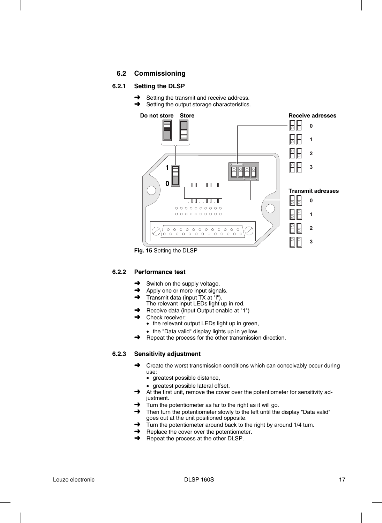#### **6.2 Commissioning**

#### **6.2.1 Setting the DLSP**

- Setting the transmit and receive address.
- **→** Setting the output storage characteristics.



**Fig. 15** Setting the DLSP

#### **6.2.2 Performance test**

- $\rightarrow$  Switch on the supply voltage.
- $\rightarrow$  Apply one or more input signals.
- ➜ Transmit data (input TX at "l").
- The relevant input LEDs light up in red.
- Receive data (input Output enable at "1")
	- Check receiver:
	- the relevant output LEDs light up in green,
	- the "Data valid" display lights up in yellow.
- $\rightarrow$  Repeat the process for the other transmission direction.

#### **6.2.3 Sensitivity adjustment**

- **→** Create the worst transmission conditions which can conceivably occur during use:
	- greatest possible distance,
	- greatest possible lateral offset.
- At the first unit, remove the cover over the potentiometer for sensitivity adjustment.
- $\rightarrow$  Turn the potentiometer as far to the right as it will go.
- **→** Then turn the potentiometer slowly to the left until the display "Data valid" goes out at the unit positioned opposite.
- $\rightarrow$  Turn the potentiometer around back to the right by around 1/4 turn.
- $\rightarrow$  Replace the cover over the potentiometer.
- **→** Repeat the process at the other DLSP.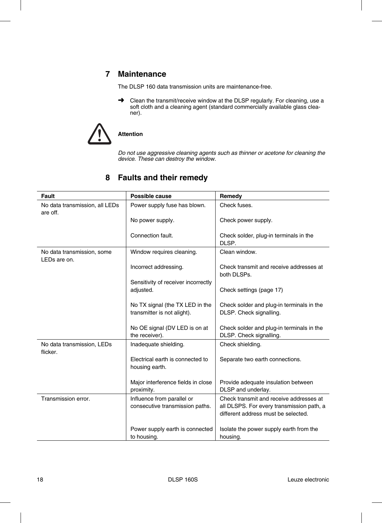# **7 Maintenance**

The DLSP 160 data transmission units are maintenance-free.

**→** Clean the transmit/receive window at the DLSP regularly. For cleaning, use a soft cloth and a cleaning agent (standard commercially available glass cleaner).



### **Attention**

*Do not use aggressive cleaning agents such as thinner or acetone for cleaning the device. These can destroy the window.*

| <b>Fault</b>                               | Possible cause                                                 | Remedy                                                                           |
|--------------------------------------------|----------------------------------------------------------------|----------------------------------------------------------------------------------|
| No data transmission, all LEDs<br>are off. | Power supply fuse has blown.                                   | Check fuses.                                                                     |
|                                            | No power supply.                                               | Check power supply.                                                              |
|                                            | Connection fault.                                              | Check solder, plug-in terminals in the<br>DLSP.                                  |
| No data transmission, some<br>LEDs are on. | Window requires cleaning.                                      | Clean window.                                                                    |
|                                            | Incorrect addressing.                                          | Check transmit and receive addresses at<br>both DLSPs.                           |
|                                            | Sensitivity of receiver incorrectly                            |                                                                                  |
|                                            | adjusted.                                                      | Check settings (page 17)                                                         |
|                                            | No TX signal (the TX LED in the<br>transmitter is not alight). | Check solder and plug-in terminals in the<br>DLSP. Check signalling.             |
|                                            | No OE signal (DV LED is on at<br>the receiver).                | Check solder and plug-in terminals in the<br>DLSP. Check signalling.             |
| No data transmission, LEDs<br>flicker.     | Inadequate shielding.                                          | Check shielding.                                                                 |
|                                            | Electrical earth is connected to<br>housing earth.             | Separate two earth connections.                                                  |
|                                            | Major interference fields in close<br>proximity.               | Provide adequate insulation between<br>DLSP and underlay.                        |
| Transmission error.                        |                                                                | Check transmit and receive addresses at                                          |
|                                            | Influence from parallel or<br>consecutive transmission paths.  | all DLSPS. For every transmission path, a<br>different address must be selected. |
|                                            | Power supply earth is connected<br>to housing.                 | Isolate the power supply earth from the<br>housing.                              |

# **8 Faults and their remedy**